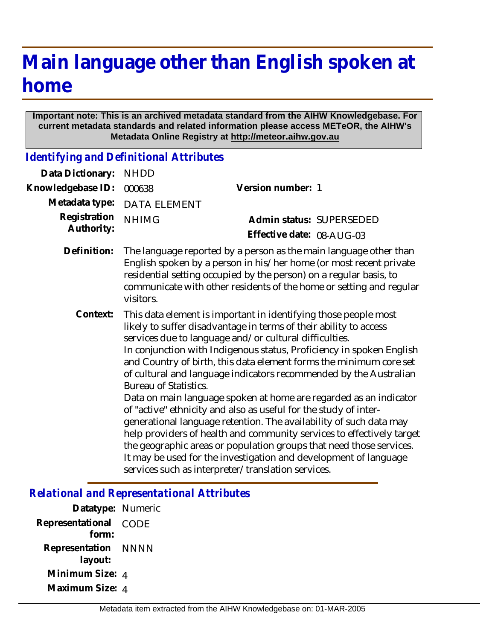# **Main language other than English spoken at home**

#### **Important note: This is an archived metadata standard from the AIHW Knowledgebase. For current metadata standards and related information please access METeOR, the AIHW's Metadata Online Registry at http://meteor.aihw.gov.au**

*Identifying and Definitional Attributes*

| Data Dictionary:           | <b>NHDD</b>                  |                                                                                                                                                                                                                                                                                                                                                                                                                                                                                                                                                                                                                                                                                                                                                                                                                                                                                                            |
|----------------------------|------------------------------|------------------------------------------------------------------------------------------------------------------------------------------------------------------------------------------------------------------------------------------------------------------------------------------------------------------------------------------------------------------------------------------------------------------------------------------------------------------------------------------------------------------------------------------------------------------------------------------------------------------------------------------------------------------------------------------------------------------------------------------------------------------------------------------------------------------------------------------------------------------------------------------------------------|
| Knowledgebase ID:          | 000638                       | Version number: 1                                                                                                                                                                                                                                                                                                                                                                                                                                                                                                                                                                                                                                                                                                                                                                                                                                                                                          |
| Metadata type:             | <b>DATA ELEMENT</b>          |                                                                                                                                                                                                                                                                                                                                                                                                                                                                                                                                                                                                                                                                                                                                                                                                                                                                                                            |
| Registration<br>Authority: | <b>NHIMG</b>                 | Admin status: SUPERSEDED                                                                                                                                                                                                                                                                                                                                                                                                                                                                                                                                                                                                                                                                                                                                                                                                                                                                                   |
|                            |                              | Effective date: 08-AUG-03                                                                                                                                                                                                                                                                                                                                                                                                                                                                                                                                                                                                                                                                                                                                                                                                                                                                                  |
| Definition:                | visitors.                    | The language reported by a person as the main language other than<br>English spoken by a person in his/her home (or most recent private<br>residential setting occupied by the person) on a regular basis, to<br>communicate with other residents of the home or setting and regular                                                                                                                                                                                                                                                                                                                                                                                                                                                                                                                                                                                                                       |
| Context:                   | <b>Bureau of Statistics.</b> | This data element is important in identifying those people most<br>likely to suffer disadvantage in terms of their ability to access<br>services due to language and/or cultural difficulties.<br>In conjunction with Indigenous status, Proficiency in spoken English<br>and Country of birth, this data element forms the minimum core set<br>of cultural and language indicators recommended by the Australian<br>Data on main language spoken at home are regarded as an indicator<br>of "active" ethnicity and also as useful for the study of inter-<br>generational language retention. The availability of such data may<br>help providers of health and community services to effectively target<br>the geographic areas or population groups that need those services.<br>It may be used for the investigation and development of language<br>services such as interpreter/translation services. |

### *Relational and Representational Attributes*

| Datatype: Numeric   |
|---------------------|
| CODE                |
| Representation NNNN |
| Minimum Size: 4     |
| Maximum Size: 4     |
|                     |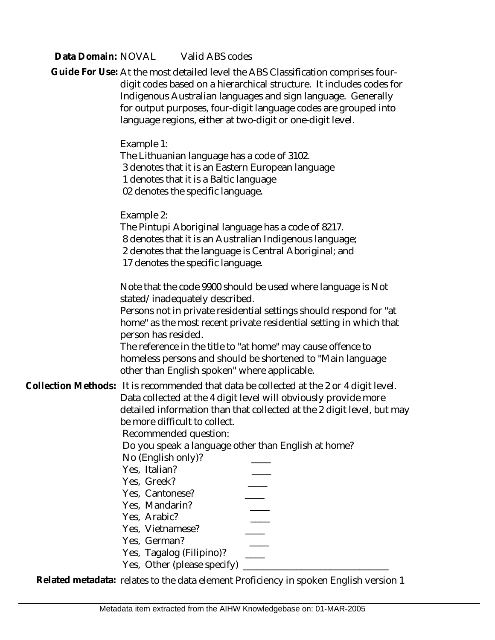#### Data Domain: NOVAL Valid ABS codes

| Guide For Use: At the most detailed level the ABS Classification comprises four-<br>digit codes based on a hierarchical structure. It includes codes for<br>Indigenous Australian languages and sign language. Generally<br>for output purposes, four-digit language codes are grouped into<br>language regions, either at two-digit or one-digit level.                                                                                                                                                                                                        |
|-----------------------------------------------------------------------------------------------------------------------------------------------------------------------------------------------------------------------------------------------------------------------------------------------------------------------------------------------------------------------------------------------------------------------------------------------------------------------------------------------------------------------------------------------------------------|
| Example 1:<br>The Lithuanian language has a code of 3102.<br>3 denotes that it is an Eastern European language<br>1 denotes that it is a Baltic language<br>02 denotes the specific language.                                                                                                                                                                                                                                                                                                                                                                   |
| Example 2:<br>The Pintupi Aboriginal language has a code of 8217.<br>8 denotes that it is an Australian Indigenous language;<br>2 denotes that the language is Central Aboriginal; and<br>17 denotes the specific language.                                                                                                                                                                                                                                                                                                                                     |
| Note that the code 9900 should be used where language is Not<br>stated/inadequately described.<br>Persons not in private residential settings should respond for "at<br>home" as the most recent private residential setting in which that<br>person has resided.<br>The reference in the title to "at home" may cause offence to<br>homeless persons and should be shortened to "Main language<br>other than English spoken" where applicable.                                                                                                                 |
| Collection Methods: It is recommended that data be collected at the 2 or 4 digit level.<br>Data collected at the 4 digit level will obviously provide more<br>detailed information than that collected at the 2 digit level, but may<br>be more difficult to collect.<br>Recommended question:<br>Do you speak a language other than English at home?<br>No (English only)?<br>Yes, Italian?<br>Yes, Greek?<br>Yes, Cantonese?<br>Yes, Mandarin?<br>Yes, Arabic?<br>Yes, Vietnamese?<br>Yes, German?<br>Yes, Tagalog (Filipino)?<br>Yes, Other (please specify) |

**Related metadata:** relates to the data element Proficiency in spoken English version 1